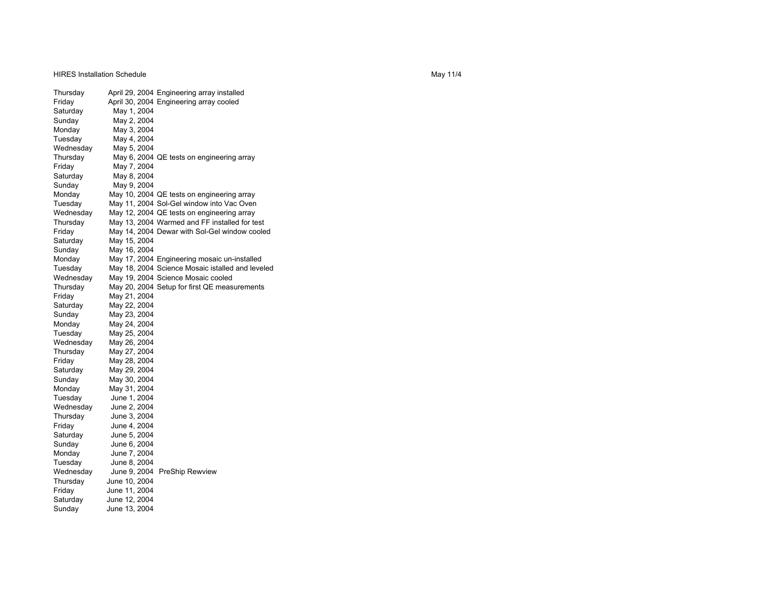HIRES Installation Schedule

Thursday April 29, 2004 Engineering array installed Friday April 30, 2004 Engineering array cooled Saturday May 1, 2004 Sunday May 2, 2004 Monday May 3, 2004 Tuesday May 4, 2004<br>Wednesday May 5, 2004 May 5, 2004 Thursday May 6, 2004 QE tests on engineering array Friday May 7, 2004 Saturday May 8, 2004<br>Sunday May 9, 2004 May 9, 2004 Monday May 10, 2004 QE tests on engineering array Tuesday May 11, 2004 Sol-Gel window into Vac Oven Wednesday May 12, 2004 QE tests on engineering array<br>Thursday May 13, 2004 Warmed and FF installed for te Thursday May 13, 2004 Warmed and FF installed for test Friday May 14, 2004 Dewar with Sol-Gel window cooled<br>Saturday May 15, 2004 May 15, 2004 Sunday May 16, 2004 Monday May 17, 2004 Engineering mosaic un-installed Tuesday May 18, 2004 Science Mosaic istalled and leveled Wednesday May 19, 2004 Science Mosaic cooled Thursday May 20, 2004 Setup for first QE measurements Friday May 21, 2004 Saturday May 22, 2004 Sunday May 23, 2004 Monday May 24, 2004 Tuesday May 25, 2004 Wednesday May 26, 2004 Thursday May 27, 2004 Friday May 28, 2004 Saturday May 29, 2004 Sunday May 30, 2004 Monday May 31, 2004 Tuesday June 1, 2004 Wednesday June 2, 2004 Thursday June 3, 2004 Friday June 4, 2004 Saturday June 5, 2004 Sunday June 6, 2004 Monday June 7, 2004 Tuesday June 8, 2004 Wednesday June 9, 2004 PreShip Rewview Thursday June 10, 2004 Friday June 11, 2004 Saturday June 12, 2004 Sunday June 13, 2004

May 11/4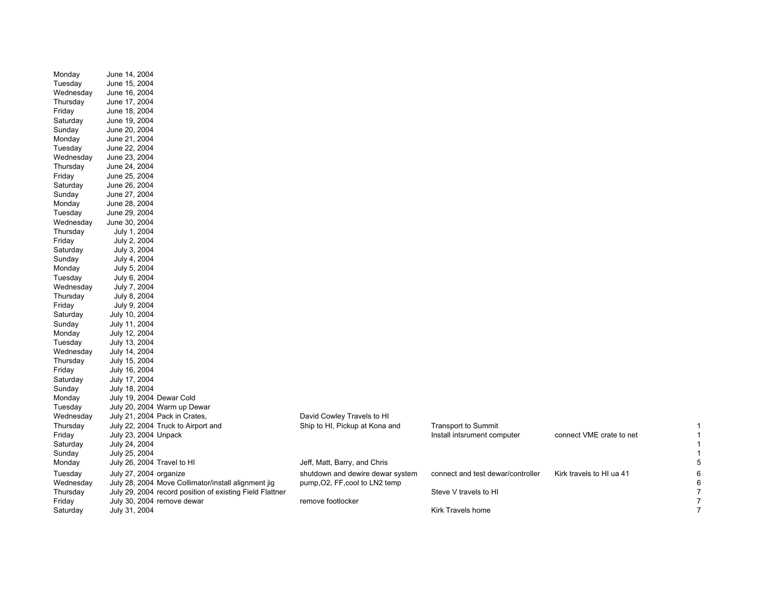| Monday    | June 14, 2004                                            |                                  |                                   |                          |   |
|-----------|----------------------------------------------------------|----------------------------------|-----------------------------------|--------------------------|---|
| Tuesday   | June 15, 2004                                            |                                  |                                   |                          |   |
| Wednesday | June 16, 2004                                            |                                  |                                   |                          |   |
| Thursday  | June 17, 2004                                            |                                  |                                   |                          |   |
| Friday    | June 18, 2004                                            |                                  |                                   |                          |   |
| Saturday  | June 19, 2004                                            |                                  |                                   |                          |   |
| Sunday    | June 20, 2004                                            |                                  |                                   |                          |   |
| Monday    | June 21, 2004                                            |                                  |                                   |                          |   |
| Tuesday   | June 22, 2004                                            |                                  |                                   |                          |   |
| Wednesday | June 23, 2004                                            |                                  |                                   |                          |   |
| Thursday  | June 24, 2004                                            |                                  |                                   |                          |   |
| Friday    | June 25, 2004                                            |                                  |                                   |                          |   |
| Saturday  | June 26, 2004                                            |                                  |                                   |                          |   |
| Sunday    | June 27, 2004                                            |                                  |                                   |                          |   |
| Monday    | June 28, 2004                                            |                                  |                                   |                          |   |
| Tuesday   | June 29, 2004                                            |                                  |                                   |                          |   |
| Wednesday | June 30, 2004                                            |                                  |                                   |                          |   |
| Thursday  | July 1, 2004                                             |                                  |                                   |                          |   |
| Friday    | July 2, 2004                                             |                                  |                                   |                          |   |
| Saturday  | July 3, 2004                                             |                                  |                                   |                          |   |
| Sunday    | July 4, 2004                                             |                                  |                                   |                          |   |
| Monday    | July 5, 2004                                             |                                  |                                   |                          |   |
| Tuesday   | July 6, 2004                                             |                                  |                                   |                          |   |
| Wednesday | July 7, 2004                                             |                                  |                                   |                          |   |
| Thursday  | July 8, 2004                                             |                                  |                                   |                          |   |
| Friday    | July 9, 2004                                             |                                  |                                   |                          |   |
| Saturday  | July 10, 2004                                            |                                  |                                   |                          |   |
| Sunday    | July 11, 2004                                            |                                  |                                   |                          |   |
| Monday    | July 12, 2004                                            |                                  |                                   |                          |   |
| Tuesday   | July 13, 2004                                            |                                  |                                   |                          |   |
| Wednesday | July 14, 2004                                            |                                  |                                   |                          |   |
| Thursday  | July 15, 2004                                            |                                  |                                   |                          |   |
| Friday    | July 16, 2004                                            |                                  |                                   |                          |   |
| Saturday  | July 17, 2004                                            |                                  |                                   |                          |   |
| Sunday    | July 18, 2004                                            |                                  |                                   |                          |   |
| Monday    | July 19, 2004 Dewar Cold                                 |                                  |                                   |                          |   |
| Tuesday   | July 20, 2004 Warm up Dewar                              |                                  |                                   |                          |   |
| Wednesday | July 21, 2004 Pack in Crates,                            | David Cowley Travels to HI       |                                   |                          |   |
| Thursday  | July 22, 2004 Truck to Airport and                       | Ship to HI, Pickup at Kona and   | <b>Transport to Summit</b>        |                          |   |
| Friday    | July 23, 2004 Unpack                                     |                                  | Install intsrument computer       | connect VME crate to net |   |
| Saturday  | July 24, 2004                                            |                                  |                                   |                          |   |
| Sunday    | July 25, 2004                                            |                                  |                                   |                          |   |
| Monday    | July 26, 2004 Travel to HI                               | Jeff, Matt, Barry, and Chris     |                                   |                          |   |
| Tuesday   | July 27, 2004 organize                                   | shutdown and dewire dewar system | connect and test dewar/controller | Kirk travels to HI ua 41 |   |
| Wednesday | July 28, 2004 Move Collimator/install alignment jig      | pump, O2, FF, cool to LN2 temp   |                                   |                          |   |
| Thursday  | July 29, 2004 record position of existing Field Flattner |                                  | Steve V travels to HI             |                          |   |
| Friday    | July 30, 2004 remove dewar                               | remove footlocker                |                                   |                          |   |
| Saturday  | July 31, 2004                                            |                                  | Kirk Travels home                 |                          | 7 |
|           |                                                          |                                  |                                   |                          |   |